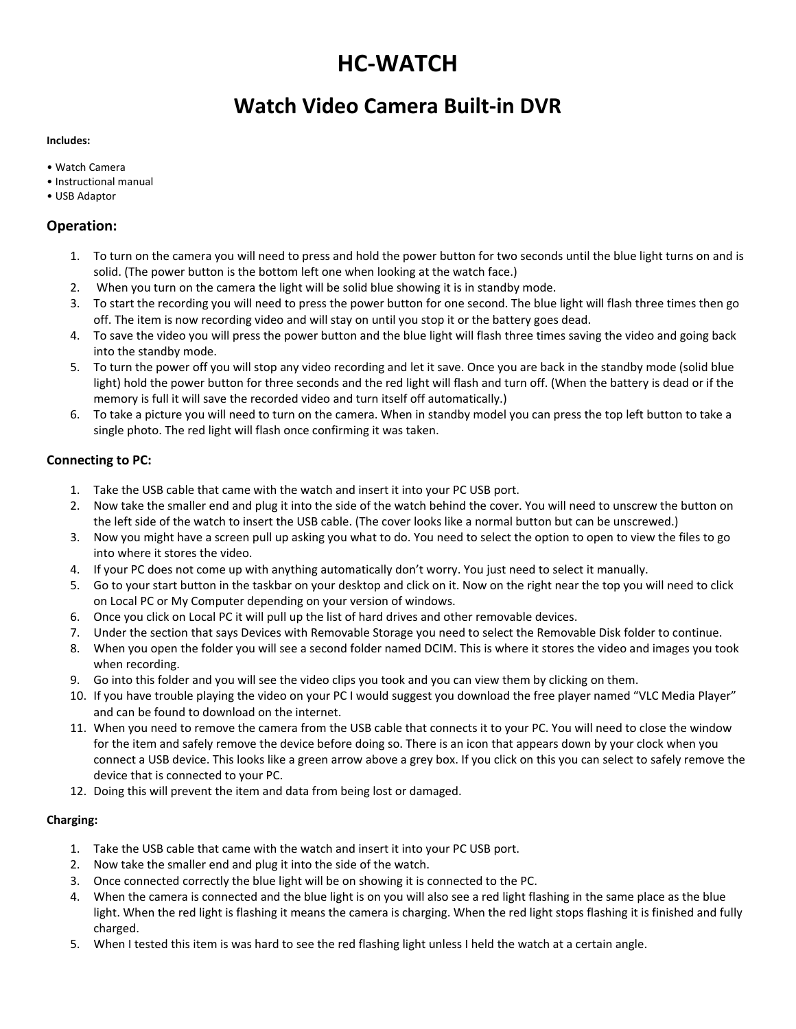# **HC‐WATCH**

## **Watch Video Camera Built‐in DVR**

#### **Includes:**

- Watch Camera
- Instructional manual
- USB Adaptor

## **Operation:**

- 1. To turn on the camera you will need to press and hold the power button for two seconds until the blue light turns on and is solid. (The power button is the bottom left one when looking at the watch face.)
- 2. When you turn on the camera the light will be solid blue showing it is in standby mode.
- 3. To start the recording you will need to press the power button for one second. The blue light will flash three times then go off. The item is now recording video and will stay on until you stop it or the battery goes dead.
- 4. To save the video you will press the power button and the blue light will flash three times saving the video and going back into the standby mode.
- 5. To turn the power off you will stop any video recording and let it save. Once you are back in the standby mode (solid blue light) hold the power button for three seconds and the red light will flash and turn off. (When the battery is dead or if the memory is full it will save the recorded video and turn itself off automatically.)
- 6. To take a picture you will need to turn on the camera. When in standby model you can press the top left button to take a single photo. The red light will flash once confirming it was taken.

#### **Connecting to PC:**

- 1. Take the USB cable that came with the watch and insert it into your PC USB port.
- 2. Now take the smaller end and plug it into the side of the watch behind the cover. You will need to unscrew the button on the left side of the watch to insert the USB cable. (The cover looks like a normal button but can be unscrewed.)
- 3. Now you might have a screen pull up asking you what to do. You need to select the option to open to view the files to go into where it stores the video.
- 4. If your PC does not come up with anything automatically don't worry. You just need to select it manually.
- 5. Go to your start button in the taskbar on your desktop and click on it. Now on the right near the top you will need to click on Local PC or My Computer depending on your version of windows.
- 6. Once you click on Local PC it will pull up the list of hard drives and other removable devices.
- 7. Under the section that says Devices with Removable Storage you need to select the Removable Disk folder to continue.
- 8. When you open the folder you will see a second folder named DCIM. This is where it stores the video and images you took when recording.
- 9. Go into this folder and you will see the video clips you took and you can view them by clicking on them.
- 10. If you have trouble playing the video on your PC I would suggest you download the free player named "VLC Media Player" and can be found to download on the internet.
- 11. When you need to remove the camera from the USB cable that connects it to your PC. You will need to close the window for the item and safely remove the device before doing so. There is an icon that appears down by your clock when you connect a USB device. This looks like a green arrow above a grey box. If you click on this you can select to safely remove the device that is connected to your PC.
- 12. Doing this will prevent the item and data from being lost or damaged.

### **Charging:**

- 1. Take the USB cable that came with the watch and insert it into your PC USB port.
- 2. Now take the smaller end and plug it into the side of the watch.
- 3. Once connected correctly the blue light will be on showing it is connected to the PC.
- 4. When the camera is connected and the blue light is on you will also see a red light flashing in the same place as the blue light. When the red light is flashing it means the camera is charging. When the red light stops flashing it is finished and fully charged.
- 5. When I tested this item is was hard to see the red flashing light unless I held the watch at a certain angle.